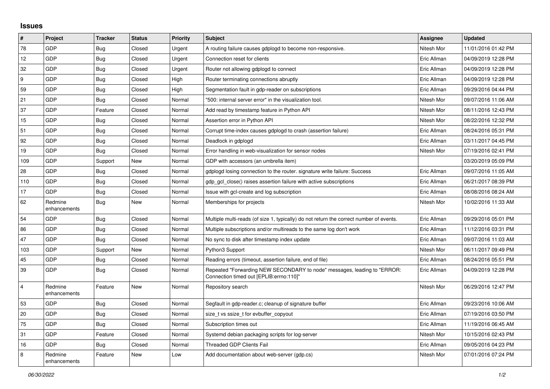## **Issues**

| $\#$                    | Project                 | <b>Tracker</b> | <b>Status</b> | <b>Priority</b> | <b>Subject</b>                                                                                                      | Assignee    | <b>Updated</b>      |
|-------------------------|-------------------------|----------------|---------------|-----------------|---------------------------------------------------------------------------------------------------------------------|-------------|---------------------|
| 78                      | GDP                     | <b>Bug</b>     | Closed        | Urgent          | A routing failure causes gdplogd to become non-responsive.                                                          | Nitesh Mor  | 11/01/2016 01:42 PM |
| 12                      | GDP                     | <b>Bug</b>     | Closed        | Urgent          | Connection reset for clients                                                                                        | Eric Allman | 04/09/2019 12:28 PM |
| 32                      | GDP                     | Bug            | Closed        | Urgent          | Router not allowing gdplogd to connect                                                                              | Eric Allman | 04/09/2019 12:28 PM |
| 9                       | GDP                     | <b>Bug</b>     | Closed        | High            | Router terminating connections abruptly                                                                             | Eric Allman | 04/09/2019 12:28 PM |
| 59                      | GDP                     | Bug            | Closed        | High            | Segmentation fault in gdp-reader on subscriptions                                                                   | Eric Allman | 09/29/2016 04:44 PM |
| 21                      | GDP                     | Bug            | Closed        | Normal          | "500: internal server error" in the visualization tool.                                                             | Nitesh Mor  | 09/07/2016 11:06 AM |
| 37                      | GDP                     | Feature        | Closed        | Normal          | Add read by timestamp feature in Python API                                                                         | Nitesh Mor  | 08/11/2016 12:43 PM |
| 15                      | GDP                     | <b>Bug</b>     | Closed        | Normal          | Assertion error in Python API                                                                                       | Nitesh Mor  | 08/22/2016 12:32 PM |
| 51                      | GDP                     | <b>Bug</b>     | Closed        | Normal          | Corrupt time-index causes gdplogd to crash (assertion failure)                                                      | Eric Allman | 08/24/2016 05:31 PM |
| 92                      | <b>GDP</b>              | Bug            | Closed        | Normal          | Deadlock in gdplogd                                                                                                 | Eric Allman | 03/11/2017 04:45 PM |
| 19                      | GDP                     | Bug            | Closed        | Normal          | Error handling in web-visualization for sensor nodes                                                                | Nitesh Mor  | 07/19/2016 02:41 PM |
| 109                     | GDP                     | Support        | New           | Normal          | GDP with accessors (an umbrella item)                                                                               |             | 03/20/2019 05:09 PM |
| 28                      | <b>GDP</b>              | Bug            | Closed        | Normal          | gdplogd losing connection to the router, signature write failure: Success                                           | Eric Allman | 09/07/2016 11:05 AM |
| 110                     | GDP                     | <b>Bug</b>     | Closed        | Normal          | gdp gcl close() raises assertion failure with active subscriptions                                                  | Eric Allman | 06/21/2017 08:39 PM |
| 17                      | GDP                     | <b>Bug</b>     | Closed        | Normal          | Issue with gcl-create and log subscription                                                                          | Eric Allman | 08/08/2016 08:24 AM |
| 62                      | Redmine<br>enhancements | <b>Bug</b>     | New           | Normal          | Memberships for projects                                                                                            | Nitesh Mor  | 10/02/2016 11:33 AM |
| 54                      | GDP                     | <b>Bug</b>     | Closed        | Normal          | Multiple multi-reads (of size 1, typically) do not return the correct number of events.                             | Eric Allman | 09/29/2016 05:01 PM |
| 86                      | <b>GDP</b>              | Bug            | Closed        | Normal          | Multiple subscriptions and/or multireads to the same log don't work                                                 | Eric Allman | 11/12/2016 03:31 PM |
| 47                      | GDP                     | Bug            | Closed        | Normal          | No sync to disk after timestamp index update                                                                        | Eric Allman | 09/07/2016 11:03 AM |
| 103                     | GDP                     | Support        | New           | Normal          | Python3 Support                                                                                                     | Nitesh Mor  | 06/11/2017 09:49 PM |
| 45                      | GDP                     | Bug            | Closed        | Normal          | Reading errors (timeout, assertion failure, end of file)                                                            | Eric Allman | 08/24/2016 05:51 PM |
| 39                      | GDP                     | <b>Bug</b>     | Closed        | Normal          | Repeated "Forwarding NEW SECONDARY to node" messages, leading to "ERROR:<br>Connection timed out [EPLIB:errno:110]" | Eric Allman | 04/09/2019 12:28 PM |
| $\overline{\mathbf{4}}$ | Redmine<br>enhancements | Feature        | <b>New</b>    | Normal          | Repository search                                                                                                   | Nitesh Mor  | 06/29/2016 12:47 PM |
| 53                      | <b>GDP</b>              | Bug            | Closed        | Normal          | Segfault in gdp-reader.c; cleanup of signature buffer                                                               | Eric Allman | 09/23/2016 10:06 AM |
| 20                      | GDP                     | <b>Bug</b>     | Closed        | Normal          | size_t vs ssize_t for evbuffer_copyout                                                                              | Eric Allman | 07/19/2016 03:50 PM |
| 75                      | GDP                     | Bug            | Closed        | Normal          | Subscription times out                                                                                              | Eric Allman | 11/19/2016 06:45 AM |
| 31                      | GDP                     | Feature        | Closed        | Normal          | Systemd debian packaging scripts for log-server                                                                     | Nitesh Mor  | 10/15/2016 02:43 PM |
| 16                      | <b>GDP</b>              | Bug            | Closed        | Normal          | <b>Threaded GDP Clients Fail</b>                                                                                    | Eric Allman | 09/05/2016 04:23 PM |
| 8                       | Redmine<br>enhancements | Feature        | New           | Low             | Add documentation about web-server (gdp.cs)                                                                         | Nitesh Mor  | 07/01/2016 07:24 PM |